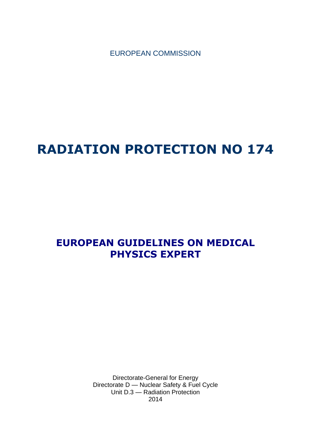EUROPEAN COMMISSION

# **RADIATION PROTECTION NO 174**

## **EUROPEAN GUIDELINES ON MEDICAL PHYSICS EXPERT**

Directorate-General for Energy Directorate D — Nuclear Safety & Fuel Cycle Unit D.3 — Radiation Protection 2014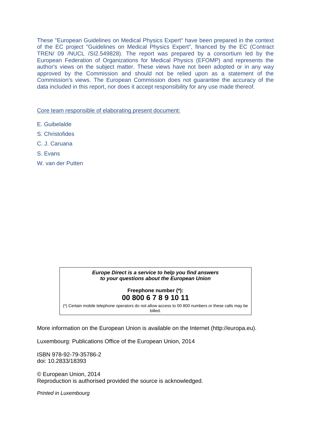These "European Guidelines on Medical Physics Expert" have been prepared in the context of the EC project "Guidelines on Medical Physics Expert", financed by the EC (Contract TREN/ 09 /NUCL /SI2.549828). The report was prepared by a consortium led by the European Federation of Organizations for Medical Physics (EFOMP) and represents the author's views on the subject matter. These views have not been adopted or in any way approved by the Commission and should not be relied upon as a statement of the Commission's views. The European Commission does not guarantee the accuracy of the data included in this report, nor does it accept responsibility for any use made thereof.

Core team responsible of elaborating present document:

- E. Guibelalde
- S. Christofides
- C. J. Caruana
- S. Evans
- W. van der Putten

#### *Europe Direct is a service to help you find answers to your questions about the European Union*

#### **Freephone number (\*): 00 800 6 7 8 9 10 11**

[\(\\*\)](http://europa.eu.int/citizensrights/signpost/about/index_en.htm#note1#note1) Certain mobile telephone operators do not allow access to 00 800 numbers or these calls may be billed.

More information on the European Union is available on the Internet (http://europa.eu).

Luxembourg: Publications Office of the European Union, 2014

ISBN 978-92-79-35786-2 doi: 10.2833/18393

© European Union, 2014 Reproduction is authorised provided the source is acknowledged.

*Printed in Luxembourg*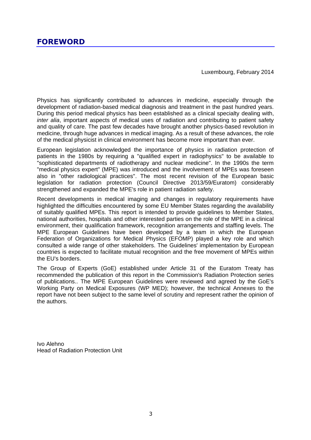Luxembourg, February 2014

<span id="page-2-0"></span>Physics has significantly contributed to advances in medicine, especially through the development of radiation-based medical diagnosis and treatment in the past hundred years. During this period medical physics has been established as a clinical specialty dealing with, *inter alia*, important aspects of medical uses of radiation and contributing to patient safety and quality of care. The past few decades have brought another physics-based revolution in medicine, through huge advances in medical imaging. As a result of these advances, the role of the medical physicist in clinical environment has become more important than ever.

European legislation acknowledged the importance of physics in radiation protection of patients in the 1980s by requiring a "qualified expert in radiophysics" to be available to "sophisticated departments of radiotherapy and nuclear medicine". In the 1990s the term "medical physics expert" (MPE) was introduced and the involvement of MPEs was foreseen also in "other radiological practices". The most recent revision of the European basic legislation for radiation protection (Council Directive 2013/59/Euratom) considerably strengthened and expanded the MPE's role in patient radiation safety.

Recent developments in medical imaging and changes in regulatory requirements have highlighted the difficulties encountered by some EU Member States regarding the availability of suitably qualified MPEs. This report is intended to provide guidelines to Member States, national authorities, hospitals and other interested parties on the role of the MPE in a clinical environment, their qualification framework, recognition arrangements and staffing levels. The MPE European Guidelines have been developed by a team in which the European Federation of Organizations for Medical Physics (EFOMP) played a key role and which consulted a wide range of other stakeholders. The Guidelines' implementation by European countries is expected to facilitate mutual recognition and the free movement of MPEs within the EU's borders.

The Group of Experts (GoE) established under Article 31 of the Euratom Treaty has recommended the publication of this report in the Commission's Radiation Protection series of publications.. The MPE European Guidelines were reviewed and agreed by the GoE's Working Party on Medical Exposures (WP MED); however, the technical Annexes to the report have not been subject to the same level of scrutiny and represent rather the opinion of the authors.

Ivo Alehno Head of Radiation Protection Unit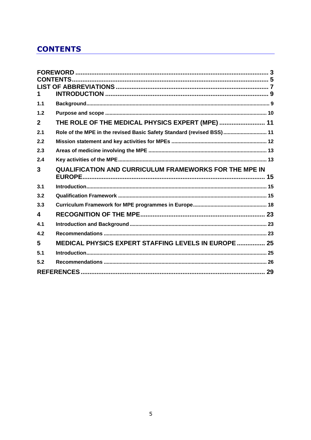### <span id="page-4-0"></span>**CONTENTS**

| 1.             |                                                                       |  |
|----------------|-----------------------------------------------------------------------|--|
| 1.1            |                                                                       |  |
| 1.2            |                                                                       |  |
| $\overline{2}$ | THE ROLE OF THE MEDICAL PHYSICS EXPERT (MPE)  11                      |  |
| 2.1            | Role of the MPE in the revised Basic Safety Standard (revised BSS) 11 |  |
| 2.2            |                                                                       |  |
| 2.3            |                                                                       |  |
| 2.4            |                                                                       |  |
| 3              | <b>QUALIFICATION AND CURRICULUM FRAMEWORKS FOR THE MPE IN</b>         |  |
|                |                                                                       |  |
| 3.1            |                                                                       |  |
| 3.2            |                                                                       |  |
| 3.3            |                                                                       |  |
| 4              |                                                                       |  |
| 4.1            |                                                                       |  |
| 4.2            |                                                                       |  |
| 5              | MEDICAL PHYSICS EXPERT STAFFING LEVELS IN EUROPE  25                  |  |
| 5.1            |                                                                       |  |
| 5.2            |                                                                       |  |
|                |                                                                       |  |
|                |                                                                       |  |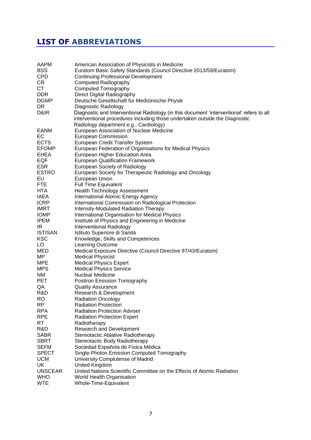### <span id="page-6-0"></span>**LIST OF ABBREVIATIONS**

| AAPM<br><b>BSS</b><br><b>CPD</b> | American Association of Physicists in Medicine<br>Euratom Basic Safety Standards (Council Directive 2013/59/Euratom)<br><b>Continuing Professional Development</b>                                                |
|----------------------------------|-------------------------------------------------------------------------------------------------------------------------------------------------------------------------------------------------------------------|
| <b>CR</b>                        | <b>Computed Radiography</b>                                                                                                                                                                                       |
| СT                               | <b>Computed Tomography</b>                                                                                                                                                                                        |
| <b>DDR</b>                       |                                                                                                                                                                                                                   |
|                                  | Direct Digital Radiography                                                                                                                                                                                        |
| <b>DGMP</b>                      | Deutsche Gesellschaft für Medizinische Physik                                                                                                                                                                     |
| <b>DR</b>                        | Diagnostic Radiology                                                                                                                                                                                              |
| D&IR                             | Diagnostic and Interventional Radiology (in this document 'interventional' refers to all<br>interventional procedures including those undertaken outside the Diagnostic<br>Radiology department e.g., Cardiology) |
| EANM                             | European Association of Nuclear Medicine                                                                                                                                                                          |
| EC                               | European Commission                                                                                                                                                                                               |
| <b>ECTS</b>                      | European Credit Transfer System                                                                                                                                                                                   |
| <b>EFOMP</b>                     | European Federation of Organisations for Medical Physics                                                                                                                                                          |
| <b>EHEA</b>                      | European Higher Education Area                                                                                                                                                                                    |
| EQF                              | <b>European Qualification Framework</b>                                                                                                                                                                           |
| <b>ESR</b>                       | European Society of Radiology                                                                                                                                                                                     |
| <b>ESTRO</b>                     | European Society for Therapeutic Radiology and Oncology                                                                                                                                                           |
| EU                               | European Union                                                                                                                                                                                                    |
| <b>FTE</b>                       | <b>Full Time Equivalent</b>                                                                                                                                                                                       |
| <b>HTA</b>                       | <b>Health Technology Assessment</b>                                                                                                                                                                               |
| <b>IAEA</b>                      | International Atomic Energy Agency                                                                                                                                                                                |
| <b>ICRP</b>                      | International Commission on Radiological Protection                                                                                                                                                               |
| <b>IMRT</b>                      | <b>Intensity-Modulated Radiation Therapy</b>                                                                                                                                                                      |
| <b>IOMP</b>                      | International Organisation for Medical Physics                                                                                                                                                                    |
| <b>IPEM</b>                      | Institute of Physics and Engineering in Medicine                                                                                                                                                                  |
| IR                               | Interventional Radiology                                                                                                                                                                                          |
| <b>ISTISAN</b>                   | Istituto Superiore di Sanità                                                                                                                                                                                      |
| <b>KSC</b>                       | Knowledge, Skills and Competences                                                                                                                                                                                 |
| LO                               | Learning Outcome                                                                                                                                                                                                  |
| <b>MED</b>                       | Medical Exposure Directive (Council Directive 97/43/Euratom)                                                                                                                                                      |
| MP                               | <b>Medical Physicist</b>                                                                                                                                                                                          |
| <b>MPE</b>                       | <b>Medical Physics Expert</b>                                                                                                                                                                                     |
| <b>MPS</b>                       | <b>Medical Physics Service</b>                                                                                                                                                                                    |
| ΝM                               | Nuclear Medicine                                                                                                                                                                                                  |
| <b>PET</b>                       | Positron Emission Tomography                                                                                                                                                                                      |
| QA                               | <b>Quality Assurance</b>                                                                                                                                                                                          |
| R&D                              | Research & Development                                                                                                                                                                                            |
| RO                               | <b>Radiation Oncology</b>                                                                                                                                                                                         |
| RP                               | <b>Radiation Protection</b>                                                                                                                                                                                       |
| <b>RPA</b>                       | <b>Radiation Protection Adviser</b>                                                                                                                                                                               |
| <b>RPE</b>                       | <b>Radiation Protection Expert</b>                                                                                                                                                                                |
| <b>RT</b>                        | Radiotherapy                                                                                                                                                                                                      |
| R&D                              | Research and Development                                                                                                                                                                                          |
| <b>SABR</b>                      | Stereotactic Ablative Radiotherapy                                                                                                                                                                                |
| <b>SBRT</b>                      | Stereotactic Body Radiotherapy                                                                                                                                                                                    |
| <b>SEFM</b>                      | Sociedad Española de Física Médica                                                                                                                                                                                |
| <b>SPECT</b>                     | Single-Photon Emission Computed Tomography                                                                                                                                                                        |
|                                  |                                                                                                                                                                                                                   |
| <b>UCM</b><br><b>UK</b>          | University Complutense of Madrid                                                                                                                                                                                  |
| <b>UNSCEAR</b>                   | United Kingdom<br>United Nations Scientific Committee on the Effects of Atomic Radiation                                                                                                                          |
| <b>WHO</b>                       |                                                                                                                                                                                                                   |
| <b>WTE</b>                       | World Health Organisation                                                                                                                                                                                         |
|                                  | Whole-Time-Equivalent                                                                                                                                                                                             |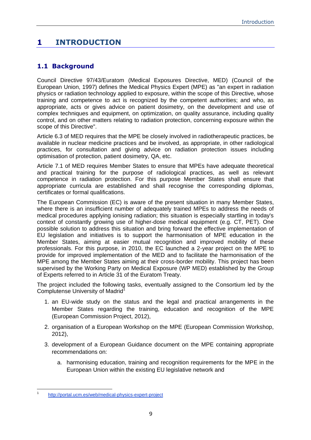### <span id="page-8-0"></span>**1 INTRODUCTION**

#### <span id="page-8-1"></span>**1.1 Background**

Council Directive 97/43/Euratom (Medical Exposures Directive, MED) (Council of the European Union, 1997) defines the Medical Physics Expert (MPE) as "an expert in radiation physics or radiation technology applied to exposure, within the scope of this Directive, whose training and competence to act is recognized by the competent authorities; and who, as appropriate, acts or gives advice on patient dosimetry, on the development and use of complex techniques and equipment, on optimization, on quality assurance, including quality control, and on other matters relating to radiation protection, concerning exposure within the scope of this Directive".

Article 6.3 of MED requires that the MPE be closely involved in radiotherapeutic practices, be available in nuclear medicine practices and be involved, as appropriate, in other radiological practices, for consultation and giving advice on radiation protection issues including optimisation of protection, patient dosimetry, QA, etc.

Article 7.1 of MED requires Member States to ensure that MPEs have adequate theoretical and practical training for the purpose of radiological practices, as well as relevant competence in radiation protection. For this purpose Member States shall ensure that appropriate curricula are established and shall recognise the corresponding diplomas, certificates or formal qualifications.

The European Commission (EC) is aware of the present situation in many Member States, where there is an insufficient number of adequately trained MPEs to address the needs of medical procedures applying ionising radiation; this situation is especially startling in today's context of constantly growing use of higher-dose medical equipment (e.g. CT, PET). One possible solution to address this situation and bring forward the effective implementation of EU legislation and initiatives is to support the harmonisation of MPE education in the Member States, aiming at easier mutual recognition and improved mobility of these professionals. For this purpose, in 2010, the EC launched a 2-year project on the MPE to provide for improved implementation of the MED and to facilitate the harmonisation of the MPE among the Member States aiming at their cross-border mobility. This project has been supervised by the Working Party on Medical Exposure (WP MED) established by the Group of Experts referred to in Article 31 of the Euratom Treaty.

The project included the following tasks, eventually assigned to the Consortium led by the Complutense University of Madrid<sup>1</sup>

- 1. an EU-wide study on the status and the legal and practical arrangements in the Member States regarding the training, education and recognition of the MPE (European Commission Project, 2012),
- 2. organisation of a European Workshop on the MPE (European Commission Workshop, 2012),
- 3. development of a European Guidance document on the MPE containing appropriate recommendations on:
	- a. harmonising education, training and recognition requirements for the MPE in the European Union within the existing EU legislative network and

<sup>1</sup> 1 [http://portal.ucm.es/web/medical-physics-expert-project](file://net1.cec.eu.int/ENER/D/3/Activity/Publications/RP174-MPE%20Guildelines/%09http:/portal.ucm.es/web/medical-physics-expert-project)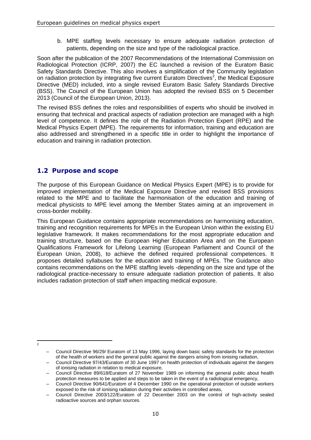b. MPE staffing levels necessary to ensure adequate radiation protection of patients, depending on the size and type of the radiological practice.

Soon after the publication of the 2007 Recommendations of the International Commission on Radiological Protection (ICRP, 2007) the EC launched a revision of the Euratom Basic Safety Standards Directive. This also involves a simplification of the Community legislation on radiation protection by integrating five current Euratom Directives<sup>2</sup>, the Medical Exposure Directive (MED) included, into a single revised Euratom Basic Safety Standards Directive (BSS). The Council of the European Union has adopted the revised BSS on 5 December 2013 (Council of the European Union, 2013).

The revised BSS defines the roles and responsibilities of experts who should be involved in ensuring that technical and practical aspects of radiation protection are managed with a high level of competence. It defines the role of the Radiation Protection Expert (RPE) and the Medical Physics Expert (MPE). The requirements for information, training and education are also addressed and strengthened in a specific title in order to highlight the importance of education and training in radiation protection.

#### <span id="page-9-0"></span>**1.2 Purpose and scope**

The purpose of this European Guidance on Medical Physics Expert (MPE) is to provide for improved implementation of the Medical Exposure Directive and revised BSS provisions related to the MPE and to facilitate the harmonisation of the education and training of medical physicists to MPE level among the Member States aiming at an improvement in cross-border mobility.

This European Guidance contains appropriate recommendations on harmonising education, training and recognition requirements for MPEs in the European Union within the existing EU legislative framework. It makes recommendations for the most appropriate education and training structure, based on the European Higher Education Area and on the European Qualifications Framework for Lifelong Learning (European Parliament and Council of the European Union, 2008), to achieve the defined required professional competences. It proposes detailed syllabuses for the education and training of MPEs. The Guidance also contains recommendations on the MPE staffing levels -depending on the size and type of the radiological practice-necessary to ensure adequate radiation protection of patients. It also includes radiation protection of staff when impacting medical exposure.

 $\frac{1}{2}$ 

<sup>–</sup> Council Directive 96/29/ Euratom of 13 May 1996, laying down basic safety standards for the protection of the health of workers and the general public against the dangers arising from ionising radiation,

<sup>–</sup> Council Directive 97/43/Euratom of 30 June 1997 on health protection of individuals against the dangers of ionising radiation in relation to medical exposure,

<sup>–</sup> Council Directive 89/618/Euratom of 27 November 1989 on informing the general public about health protection measures to be applied and steps to be taken in the event of a radiological emergency,

<sup>–</sup> Council Directive 90/641/Euratom of 4 December 1990 on the operational protection of outside workers exposed to the risk of ionising radiation during their activities in controlled areas,

<sup>–</sup> Council Directive 2003/122/Euratom of 22 December 2003 on the control of high-activity sealed radioactive sources and orphan sources.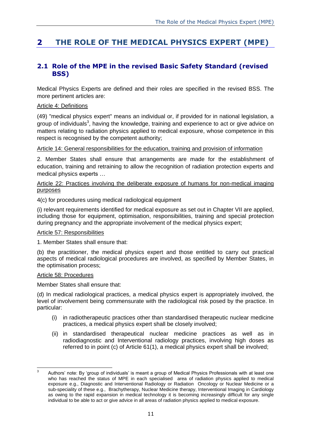### <span id="page-10-0"></span>**2 THE ROLE OF THE MEDICAL PHYSICS EXPERT (MPE)**

#### <span id="page-10-1"></span>**2.1 Role of the MPE in the revised Basic Safety Standard (revised BSS)**

Medical Physics Experts are defined and their roles are specified in the revised BSS. The more pertinent articles are:

#### Article 4: Definitions

(49) "medical physics expert" means an individual or, if provided for in national legislation, a group of individuals<sup>3</sup>, having the knowledge, training and experience to act or give advice on matters relating to radiation physics applied to medical exposure, whose competence in this respect is recognised by the competent authority;

#### Article 14: General responsibilities for the education, training and provision of information

2. Member States shall ensure that arrangements are made for the establishment of education, training and retraining to allow the recognition of radiation protection experts and medical physics experts …

#### Article 22: Practices involving the deliberate exposure of humans for non-medical imaging purposes

4(c) for procedures using medical radiological equipment

(i) relevant requirements identified for medical exposure as set out in Chapter VII are applied, including those for equipment, optimisation, responsibilities, training and special protection during pregnancy and the appropriate involvement of the medical physics expert;

#### Article 57: Responsibilities

1. Member States shall ensure that:

(b) the practitioner, the medical physics expert and those entitled to carry out practical aspects of medical radiological procedures are involved, as specified by Member States, in the optimisation process;

#### Article 58: Procedures

Member States shall ensure that:

(d) In medical radiological practices, a medical physics expert is appropriately involved, the level of involvement being commensurate with the radiological risk posed by the practice. In particular:

- (i) in radiotherapeutic practices other than standardised therapeutic nuclear medicine practices, a medical physics expert shall be closely involved;
- (ii) in standardised therapeutical nuclear medicine practices as well as in radiodiagnostic and Interventional radiology practices, involving high doses as referred to in point (c) of Article 61(1), a medical physics expert shall be involved;

 $\overline{\mathbf{a}}$ <sup>3</sup> Authors' note: By 'group of individuals' is meant a group of Medical Physics Professionals with at least one who has reached the status of MPE in each specialised area of radiation physics applied to medical exposure e.g., Diagnostic and Interventional Radiology or Radiation Oncology or Nuclear Medicine or a sub-speciality of these e.g., Brachytherapy, Nuclear Medicine therapy, Interventional Imaging in Cardiology as owing to the rapid expansion in medical technology it is becoming increasingly difficult for any single individual to be able to act or give advice in all areas of radiation physics applied to medical exposure.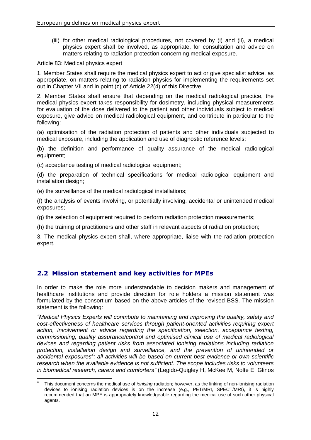(iii) for other medical radiological procedures, not covered by (i) and (ii), a medical physics expert shall be involved, as appropriate, for consultation and advice on matters relating to radiation protection concerning medical exposure.

#### Article 83: Medical physics expert

1. Member States shall require the medical physics expert to act or give specialist advice, as appropriate, on matters relating to radiation physics for implementing the requirements set out in Chapter VII and in point (c) of Article 22(4) of this Directive.

2. Member States shall ensure that depending on the medical radiological practice, the medical physics expert takes responsibility for dosimetry, including physical measurements for evaluation of the dose delivered to the patient and other individuals subject to medical exposure, give advice on medical radiological equipment, and contribute in particular to the following:

(a) optimisation of the radiation protection of patients and other individuals subjected to medical exposure, including the application and use of diagnostic reference levels;

(b) the definition and performance of quality assurance of the medical radiological equipment;

(c) acceptance testing of medical radiological equipment;

(d) the preparation of technical specifications for medical radiological equipment and installation design;

(e) the surveillance of the medical radiological installations;

(f) the analysis of events involving, or potentially involving, accidental or unintended medical exposures;

(g) the selection of equipment required to perform radiation protection measurements;

(h) the training of practitioners and other staff in relevant aspects of radiation protection;

3. The medical physics expert shall, where appropriate, liaise with the radiation protection expert.

#### <span id="page-11-0"></span>**2.2 Mission statement and key activities for MPEs**

In order to make the role more understandable to decision makers and management of healthcare institutions and provide direction for role holders a mission statement was formulated by the consortium based on the above articles of the revised BSS. The mission statement is the following:

*"Medical Physics Experts will contribute to maintaining and improving the quality, safety and cost-effectiveness of healthcare services through patient-oriented activities requiring expert action, involvement or advice regarding the specification, selection, acceptance testing, commissioning, quality assurance/control and optimised clinical use of medical radiological devices and regarding patient risks from associated ionising radiations including radiation protection, installation design and surveillance, and the prevention of unintended or accidental exposures<sup>4</sup> ; all activities will be based on current best evidence or own scientific research when the available evidence is not sufficient. The scope includes risks to volunteers in biomedical research, carers and comforters"* (Legido-Quigley H, McKee M, Nolte E, Glinos

<sup>1</sup> 4 This document concerns the medical use of *ionising* radiation; however, as the linking of non-ionising radiation devices to ionising radiation devices is on the increase (e.g., PET/MRI, SPECT/MRI), it is highly recommended that an MPE is appropriately knowledgeable regarding the medical use of such other physical agents.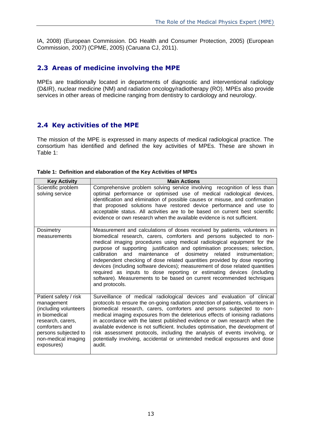IA, 2008) (European Commission. DG Health and Consumer Protection, 2005) (European Commission, 2007) (CPME, 2005) (Caruana CJ, 2011).

#### <span id="page-12-0"></span>**2.3 Areas of medicine involving the MPE**

MPEs are traditionally located in departments of diagnostic and interventional radiology (D&IR), nuclear medicine (NM) and radiation oncology/radiotherapy (RO). MPEs also provide services in other areas of medicine ranging from dentistry to cardiology and neurology.

#### <span id="page-12-1"></span>**2.4 Key activities of the MPE**

The mission of the MPE is expressed in many aspects of medical radiological practice. The consortium has identified and defined the key activities of MPEs. These are shown in Table 1:

| <b>Key Activity</b>                                                                                                                                                               | <b>Main Actions</b>                                                                                                                                                                                                                                                                                                                                                                                                                                                                                                                                                                                                                                                                                                      |
|-----------------------------------------------------------------------------------------------------------------------------------------------------------------------------------|--------------------------------------------------------------------------------------------------------------------------------------------------------------------------------------------------------------------------------------------------------------------------------------------------------------------------------------------------------------------------------------------------------------------------------------------------------------------------------------------------------------------------------------------------------------------------------------------------------------------------------------------------------------------------------------------------------------------------|
| Scientific problem<br>solving service                                                                                                                                             | Comprehensive problem solving service involving recognition of less than<br>optimal performance or optimised use of medical radiological devices,<br>identification and elimination of possible causes or misuse, and confirmation<br>that proposed solutions have restored device performance and use to<br>acceptable status. All activities are to be based on current best scientific<br>evidence or own research when the available evidence is not sufficient.                                                                                                                                                                                                                                                     |
| Dosimetry<br>measurements                                                                                                                                                         | Measurement and calculations of doses received by patients, volunteers in<br>biomedical research, carers, comforters and persons subjected to non-<br>medical imaging procedures using medical radiological equipment for the<br>purpose of supporting justification and optimisation processes; selection,<br>maintenance of dosimetry related instrumentation;<br>calibration<br>and<br>independent checking of dose related quantities provided by dose reporting<br>devices (including software devices); measurement of dose related quantities<br>required as inputs to dose reporting or estimating devices (including<br>software). Measurements to be based on current recommended techniques<br>and protocols. |
| Patient safety / risk<br>management<br>(including volunteers<br>in biomedical<br>research, carers,<br>comforters and<br>persons subjected to<br>non-medical imaging<br>exposures) | Surveillance of medical radiological devices and evaluation of clinical<br>protocols to ensure the on-going radiation protection of patients, volunteers in<br>biomedical research, carers, comforters and persons subjected to non-<br>medical imaging exposures from the deleterious effects of ionising radiations<br>in accordance with the latest published evidence or own research when the<br>available evidence is not sufficient. Includes optimisation, the development of<br>risk assessment protocols, including the analysis of events involving, or<br>potentially involving, accidental or unintended medical exposures and dose<br>audit.                                                               |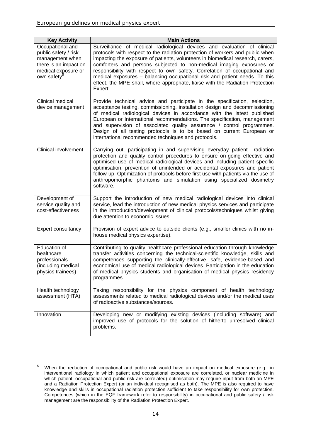| <b>Key Activity</b>                                                                                                                    | <b>Main Actions</b>                                                                                                                                                                                                                                                                                                                                                                                                                                                                                                                                                         |
|----------------------------------------------------------------------------------------------------------------------------------------|-----------------------------------------------------------------------------------------------------------------------------------------------------------------------------------------------------------------------------------------------------------------------------------------------------------------------------------------------------------------------------------------------------------------------------------------------------------------------------------------------------------------------------------------------------------------------------|
| Occupational and<br>public safety / risk<br>management when<br>there is an impact on<br>medical exposure or<br>own safety <sup>5</sup> | Surveillance of medical radiological devices and evaluation of clinical<br>protocols with respect to the radiation protection of workers and public when<br>impacting the exposure of patients, volunteers in biomedical research, carers,<br>comforters and persons subjected to non-medical imaging exposures or<br>responsibility with respect to own safety. Correlation of occupational and<br>medical exposures - balancing occupational risk and patient needs. To this<br>effect, the MPE shall, where appropriate, liaise with the Radiation Protection<br>Expert. |
| Clinical medical<br>device management                                                                                                  | Provide technical advice and participate in the specification, selection,<br>acceptance testing, commissioning, installation design and decommissioning<br>of medical radiological devices in accordance with the latest published<br>European or International recommendations. The specification, management<br>and supervision of associated quality assurance / control programmes.<br>Design of all testing protocols is to be based on current European or<br>international recommended techniques and protocols.                                                     |
| <b>Clinical involvement</b>                                                                                                            | Carrying out, participating in and supervising everyday patient<br>radiation<br>protection and quality control procedures to ensure on-going effective and<br>optimised use of medical radiological devices and including patient specific<br>optimisation, prevention of unintended or accidental exposures and patient<br>follow-up. Optimization of protocols before first use with patients via the use of<br>anthropomorphic phantoms and simulation using specialized dosimetry<br>software.                                                                          |
| Development of<br>service quality and<br>cost-effectiveness                                                                            | Support the introduction of new medical radiological devices into clinical<br>service, lead the introduction of new medical physics services and participate<br>in the introduction/development of clinical protocols/techniques whilst giving<br>due attention to economic issues.                                                                                                                                                                                                                                                                                         |
| Expert consultancy                                                                                                                     | Provision of expert advice to outside clients (e.g., smaller clinics with no in-<br>house medical physics expertise).                                                                                                                                                                                                                                                                                                                                                                                                                                                       |
| Education of<br>healthcare<br>professionals<br>(including medical<br>physics trainees)                                                 | Contributing to quality healthcare professional education through knowledge<br>transfer activities concerning the technical-scientific knowledge, skills and<br>competences supporting the clinically-effective, safe, evidence-based and<br>economical use of medical radiological devices. Participation in the education<br>of medical physics students and organisation of medical physics residency<br>programmes.                                                                                                                                                     |
| Health technology<br>assessment (HTA)                                                                                                  | Taking responsibility for the physics component of health technology<br>assessments related to medical radiological devices and/or the medical uses<br>of radioactive substances/sources.                                                                                                                                                                                                                                                                                                                                                                                   |
| Innovation                                                                                                                             | Developing new or modifying existing devices (including software) and<br>improved use of protocols for the solution of hitherto unresolved clinical<br>problems.                                                                                                                                                                                                                                                                                                                                                                                                            |

 $\overline{5}$ When the reduction of occupational and public risk would have an impact on medical exposure (e.g., in interventional radiology in which patient and occupational exposure are correlated, or nuclear medicine in which patient, occupational and public risk are correlated) optimisation may require input from both an MPE and a Radiation Protection Expert (or an individual recognised as both). The MPE is also required to have knowledge and skills in occupational radiation protection sufficient to take responsibility for own protection. Competences (which in the EQF framework refer to responsibility) in occupational and public safety / risk management are the responsibility of the Radiation Protection Expert.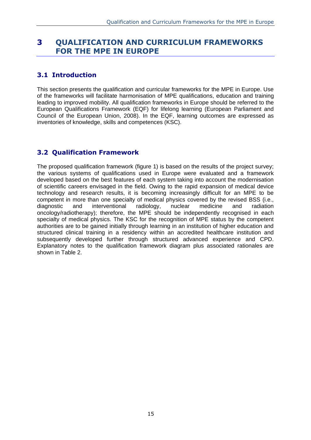### <span id="page-14-0"></span>**3 QUALIFICATION AND CURRICULUM FRAMEWORKS FOR THE MPE IN EUROPE**

#### <span id="page-14-1"></span>**3.1 Introduction**

This section presents the qualification and curricular frameworks for the MPE in Europe. Use of the frameworks will facilitate harmonisation of MPE qualifications, education and training leading to improved mobility. All qualification frameworks in Europe should be referred to the European Qualifications Framework (EQF) for lifelong learning (European Parliament and Council of the European Union, 2008). In the EQF, learning outcomes are expressed as inventories of knowledge, skills and competences (KSC).

#### <span id="page-14-2"></span>**3.2 Qualification Framework**

The proposed qualification framework (figure 1) is based on the results of the project survey; the various systems of qualifications used in Europe were evaluated and a framework developed based on the best features of each system taking into account the modernisation of scientific careers envisaged in the field. Owing to the rapid expansion of medical device technology and research results, it is becoming increasingly difficult for an MPE to be competent in more than one specialty of medical physics covered by the revised BSS (i.e., diagnostic and interventional radiology, nuclear medicine and radiation oncology/radiotherapy); therefore, the MPE should be independently recognised in each specialty of medical physics. The KSC for the recognition of MPE status by the competent authorities are to be gained initially through learning in an institution of higher education and structured clinical training in a residency within an accredited healthcare institution and subsequently developed further through structured advanced experience and CPD. Explanatory notes to the qualification framework diagram plus associated rationales are shown in Table 2.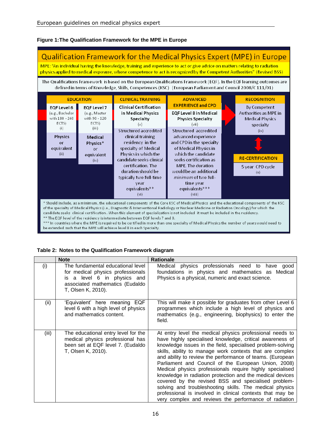#### **Figure 1:The Qualification Framework for the MPE in Europe**

#### **Qualification Framework for the Medical Physics Expert (MPE) in Europe** MPE: "An individual having the knowledge, training and experience to act or give advice on matters relating to radiation physics applied to medical exposure, whose competence to act is recognized by the Competent Authorities" (Revised BSS) The Qualifications Framework is based on the European Qualifications Framework (EQF). In the EQF learning outcomes are defined in terms of Knowledge, Skills, Competences (KSC) (European Parliament and Council 2008/C111/01) **EDUCATION CLINICAL TRAINING RECOGNITION ADVANCED EXPERIENCE and CPD Clinical Certification** EOF Level 6 EOF Level 7 By Competent (e.g., Bachelor (e.g., Master in Medical Physics EOF Level 8 in Medical Authorities as MPE in with 180 - 240 with 90 - 120 Specialty **Physics Specialty Medical Physics** ECTS) ECTS)  $(v)$  $(vii)$ specialty  $(i)$  $(iii)$ **Structured accredited** Structured accredited  $(ix)$ Physics clinical training advanced experience Medical residency in the and CPD in the specialty <sub>or</sub> Physics\* equivalent specialty of Medical of Medical Physics in  $\alpha$ r  $(ii)$ equivalent Physics in which the which the candidate **RE-CERTIFICATION** candidate seeks clinical seeks certification as  $(iv)$ MPE. The duration certification. The 5 year CPD cycle duration should be would be an additional  $(x)$ typically two full-time minimum of two fullyear time year equivalents\*\* equivalents \*\*\*  $(viii)$  $(vi)$ \* Should include, as a minimum, the educational components of the Core KSC of Medical Physics and the educational components of the KSC of the specialty of Medical Physics (i.e., Diagnostic & Interventional Radiology or Nuclear Medicine or Radiation Oncology) for which the candidate seeks clinical certification. When this element of specialization is not included it must be included in the residency. \* The EQF level of the residency is intermediate between EQF levels 7 and 8. \* In countries where the MPE is required to be certified in more than one specialty of Medical Physics the number of years would need to

be extended such that the MPE will achieve level 8 in each Specialty.

#### **Table 2: Notes to the Qualification Framework diagram**

|       | <b>Note</b>                                                                                                                                                    | <b>Rationale</b>                                                                                                                                                                                                                                                                                                                                                                                                                                                                                                                                                                                                                                                                                                                    |
|-------|----------------------------------------------------------------------------------------------------------------------------------------------------------------|-------------------------------------------------------------------------------------------------------------------------------------------------------------------------------------------------------------------------------------------------------------------------------------------------------------------------------------------------------------------------------------------------------------------------------------------------------------------------------------------------------------------------------------------------------------------------------------------------------------------------------------------------------------------------------------------------------------------------------------|
| (i)   | The fundamental educational level<br>for medical physics professionals<br>is a level 6 in physics and<br>associated mathematics (Eudaldo<br>T, Olsen K, 2010). | Medical physics professionals need to have<br>qood<br>foundations in physics and mathematics as Medical<br>Physics is a physical, numeric and exact science.                                                                                                                                                                                                                                                                                                                                                                                                                                                                                                                                                                        |
| (ii)  | 'Equivalent' here meaning EQF<br>level 6 with a high level of physics<br>and mathematics content.                                                              | This will make it possible for graduates from other Level 6<br>programmes which include a high level of physics and<br>mathematics (e.g., engineering, biophysics) to enter the<br>field.                                                                                                                                                                                                                                                                                                                                                                                                                                                                                                                                           |
| (iii) | The educational entry level for the<br>medical physics professional has<br>been set at EQF level 7. (Eudaldo<br>T, Olsen K, 2010).                             | At entry level the medical physics professional needs to<br>have highly specialised knowledge, critical awareness of<br>knowledge issues in the field, specialised problem-solving<br>skills, ability to manage work contexts that are complex<br>and ability to review the performance of teams. (European<br>Parliament and Council of the European Union, 2008)<br>Medical physics professionals require highly specialised<br>knowledge in radiation protection and the medical devices<br>covered by the revised BSS and specialised problem-<br>solving and troubleshooting skills. The medical physics<br>professional is involved in clinical contexts that may be<br>very complex and reviews the performance of radiation |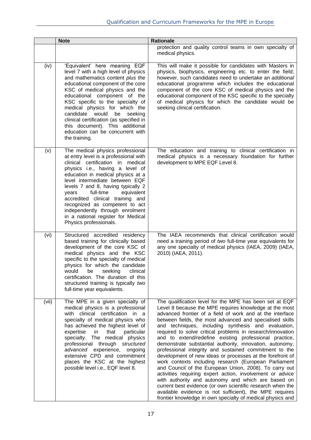|       | <b>Note</b>                                                                                                                                                                                                                                                                                                                                                                                                                                                                 | <b>Rationale</b>                                                                                                                                                                                                                                                                                                                                                                                                                                                                                                                                                                                                                                                                                                                                                                                                                                                                                                                                                                                                                          |
|-------|-----------------------------------------------------------------------------------------------------------------------------------------------------------------------------------------------------------------------------------------------------------------------------------------------------------------------------------------------------------------------------------------------------------------------------------------------------------------------------|-------------------------------------------------------------------------------------------------------------------------------------------------------------------------------------------------------------------------------------------------------------------------------------------------------------------------------------------------------------------------------------------------------------------------------------------------------------------------------------------------------------------------------------------------------------------------------------------------------------------------------------------------------------------------------------------------------------------------------------------------------------------------------------------------------------------------------------------------------------------------------------------------------------------------------------------------------------------------------------------------------------------------------------------|
|       |                                                                                                                                                                                                                                                                                                                                                                                                                                                                             | protection and quality control teams in own specialty of<br>medical physics.                                                                                                                                                                                                                                                                                                                                                                                                                                                                                                                                                                                                                                                                                                                                                                                                                                                                                                                                                              |
| (iv)  | 'Equivalent' here meaning EQF<br>level 7 with a high level of physics<br>and mathematics content plus the<br>educational component of the core<br>KSC of medical physics and the<br>educational component of the<br>KSC specific to the specialty of<br>medical physics for which the<br>candidate would<br>be<br>seeking<br>clinical certification (as specified in<br>this document). This additional<br>education can be concurrent with<br>the training.                | This will make it possible for candidates with Masters in<br>physics, biophysics, engineering etc. to enter the field;<br>however, such candidates need to undertake an additional<br>educational programme which includes the educational<br>component of the core KSC of medical physics and the<br>educational component of the KSC specific to the specialty<br>of medical physics for which the candidate would be<br>seeking clinical certification.                                                                                                                                                                                                                                                                                                                                                                                                                                                                                                                                                                                |
| (v)   | The medical physics professional<br>at entry level is a professional with<br>clinical certification in medical<br>physics i.e., having a level of<br>education in medical physics at a<br>level intermediate between EQF<br>levels 7 and 8, having typically 2<br>full-time<br>equivalent<br>years<br>accredited clinical training and<br>recognized as competent to act<br>independently through enrolment<br>in a national register for Medical<br>Physics professionals. | The education and training to clinical certification in<br>medical physics is a necessary foundation for further<br>development to MPE EQF Level 8.                                                                                                                                                                                                                                                                                                                                                                                                                                                                                                                                                                                                                                                                                                                                                                                                                                                                                       |
| (vi)  | Structured accredited residency<br>based training for clinically based<br>development of the core KSC of<br>medical physics and the KSC<br>specific to the specialty of medical<br>physics for which the candidate<br>would be seeking clinical<br>certification. The duration of this<br>structured training is typically two<br>full-time year equivalents.                                                                                                               | The IAEA recommends that clinical certification would<br>need a training period of two full-time year equivalents for<br>any one specialty of medical physics (IAEA, 2009) (IAEA,<br>2010) (IAEA, 2011).                                                                                                                                                                                                                                                                                                                                                                                                                                                                                                                                                                                                                                                                                                                                                                                                                                  |
| (vii) | The MPE in a given specialty of<br>medical physics is a professional<br>with clinical certification in a<br>specialty of medical physics who<br>has achieved the highest level of<br>expertise<br>in<br>that<br>particular<br>specialty. The medical physics<br>professional through structured<br>advanced experience, ongoing<br>extensive CPD and commitment<br>places the KSC at the highest<br>possible level i.e., EQF level 8.                                       | The qualification level for the MPE has been set at EQF<br>Level 8 because the MPE requires knowledge at the most<br>advanced frontier of a field of work and at the interface<br>between fields, the most advanced and specialised skills<br>and techniques, including synthesis and evaluation,<br>required to solve critical problems in research/innovation<br>and to extend/redefine existing professional practice,<br>demonstrate substantial authority, innovation, autonomy,<br>professional integrity and sustained commitment to the<br>development of new ideas or processes at the forefront of<br>work contexts including research (European Parliament<br>and Council of the European Union, 2008). To carry out<br>activities requiring expert action, involvement or advice<br>with authority and autonomy and which are based on<br>current best evidence (or own scientific research when the<br>available evidence is not sufficient), the MPE requires<br>frontier knowledge in own specialty of medical physics and |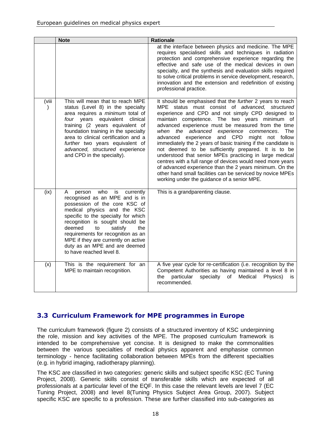|                        | <b>Note</b>                                                                                                                                                                                                                                                                                                                                                                                   | <b>Rationale</b>                                                                                                                                                                                                                                                                                                                                                                                                                                                                                                                                                                                                                                                                                                                                                                                             |
|------------------------|-----------------------------------------------------------------------------------------------------------------------------------------------------------------------------------------------------------------------------------------------------------------------------------------------------------------------------------------------------------------------------------------------|--------------------------------------------------------------------------------------------------------------------------------------------------------------------------------------------------------------------------------------------------------------------------------------------------------------------------------------------------------------------------------------------------------------------------------------------------------------------------------------------------------------------------------------------------------------------------------------------------------------------------------------------------------------------------------------------------------------------------------------------------------------------------------------------------------------|
|                        |                                                                                                                                                                                                                                                                                                                                                                                               | at the interface between physics and medicine. The MPE<br>requires specialised skills and techniques in radiation<br>protection and comprehensive experience regarding the<br>effective and safe use of the medical devices in own<br>specialty, and the synthesis and evaluation skills required<br>to solve critical problems in service development, research,<br>innovation and the extension and redefinition of existing<br>professional practice.                                                                                                                                                                                                                                                                                                                                                     |
| (viii<br>$\mathcal{L}$ | This will mean that to reach MPE<br>status (Level 8) in the specialty<br>area requires a minimum total of<br>four years<br>equivalent<br>clinical<br>training (2 years equivalent of<br>foundation training in the specialty<br>area to clinical certification and a<br>further two years equivalent of<br>advanced, structured experience<br>and CPD in the specialty).                      | It should be emphasised that the further 2 years to reach<br>MPE status must consist of advanced, structured<br>experience and CPD and not simply CPD designed to<br>maintain competence. The two years minimum of<br>advanced experience must be measured from the time<br>when the advanced<br>experience commences.<br>The<br>advanced experience<br>and CPD<br>might not follow<br>immediately the 2 years of basic training if the candidate is<br>not deemed to be sufficiently prepared. It is to be<br>understood that senior MPEs practicing in large medical<br>centres with a full range of devices would need more years<br>of advanced experience than the 2 years minimum. On the<br>other hand small facilities can be serviced by novice MPEs<br>working under the guidance of a senior MPE. |
| (ix)                   | who<br>is<br>A<br>currently<br>person<br>recognised as an MPE and is in<br>possession of the core KSC of<br>medical physics and the KSC<br>specific to the specialty for which<br>recognition is sought should be<br>deemed<br>satisfy<br>the<br>to<br>requirements for recognition as an<br>MPE if they are currently on active<br>duty as an MPE and are deemed<br>to have reached level 8. | This is a grandparenting clause.                                                                                                                                                                                                                                                                                                                                                                                                                                                                                                                                                                                                                                                                                                                                                                             |
| (x)                    | This is the requirement for an<br>MPE to maintain recognition.                                                                                                                                                                                                                                                                                                                                | A five year cycle for re-certification (i.e. recognition by the<br>Competent Authorities as having maintained a level 8 in<br>particular<br>specialty<br>Medical<br>the<br>of<br>Physics)<br>is<br>recommended.                                                                                                                                                                                                                                                                                                                                                                                                                                                                                                                                                                                              |

### <span id="page-17-0"></span>**3.3 Curriculum Framework for MPE programmes in Europe**

The curriculum framework (figure 2) consists of a structured inventory of KSC underpinning the role, mission and key activities of the MPE. The proposed curriculum framework is intended to be comprehensive yet concise. It is designed to make the commonalities between the various specialties of medical physics apparent and emphasise common terminology - hence facilitating collaboration between MPEs from the different specialties (e.g. in hybrid imaging, radiotherapy planning).

The KSC are classified in two categories: generic skills and subject specific KSC (EC Tuning Project, 2008). Generic skills consist of transferable skills which are expected of all professionals at a particular level of the EQF. In this case the relevant levels are level 7 (EC Tuning Project, 2008) and level 8(Tuning Physics Subject Area Group, 2007). Subject specific KSC are specific to a profession. These are further classified into sub-categories as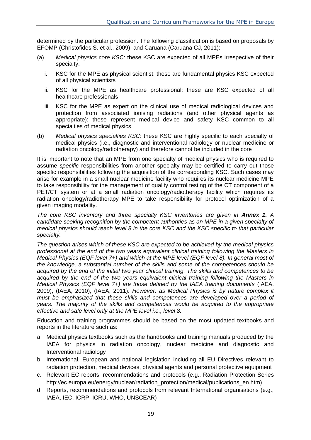determined by the particular profession. The following classification is based on proposals by EFOMP (Christofides S. et al., 2009), and Caruana (Caruana CJ, 2011):

- (a) *Medical physics core KSC*: these KSC are expected of all MPEs irrespective of their specialty:
	- i. KSC for the MPE as physical scientist: these are fundamental physics KSC expected of all physical scientists
	- ii. KSC for the MPE as healthcare professional: these are KSC expected of all healthcare professionals
	- iii. KSC for the MPE as expert on the clinical use of medical radiological devices and protection from associated ionising radiations (and other physical agents as appropriate): these represent medical device and safety KSC common to all specialties of medical physics.
- (b) *Medical physics specialties KSC*: these KSC are highly specific to each specialty of medical physics (i.e., diagnostic and interventional radiology or nuclear medicine or radiation oncology/radiotherapy) and therefore cannot be included in the core

It is important to note that an MPE from one specialty of medical physics who is required to assume *specific* responsibilities from another specialty may be certified to carry out those specific responsibilities following the acquisition of the corresponding KSC. Such cases may arise for example in a small nuclear medicine facility who requires its nuclear medicine MPE to take responsibility for the management of quality control testing of the CT component of a PET/CT system or at a small radiation oncology/radiotherapy facility which requires its radiation oncology/radiotherapy MPE to take responsibility for protocol optimization of a given imaging modality.

*The core KSC inventory and three specialty KSC inventories are given in Annex 1. A candidate seeking recognition by the competent authorities as an MPE in a given specialty of medical physics should reach level 8 in the core KSC and the KSC specific to that particular specialty.*

*The question arises which of these KSC are expected to be achieved by the medical physics professional at the end of the two years equivalent clinical training following the Masters in Medical Physics (EQF level 7+) and which at the MPE level (EQF level 8). In general most of the knowledge, a substantial number of the skills and some of the competences should be acquired by the end of the initial two year clinical training. The skills and competences to be acquired by the end of the two years equivalent clinical training following the Masters in Medical Physics (EQF level 7+) are those defined by the IAEA training documents* (IAEA, 2009), (IAEA, 2010), (IAEA, 2011). *However, as Medical Physics is by nature complex it must be emphasized that these skills and competences are developed over a period of years. The majority of the skills and competences would be acquired to the appropriate effective and safe level only at the MPE level i.e., level 8.*

Education and training programmes should be based on the most updated textbooks and reports in the literature such as:

- a. Medical physics textbooks such as the handbooks and training manuals produced by the IAEA for physics in radiation oncology, nuclear medicine and diagnostic and Interventional radiology
- b. International, European and national legislation including all EU Directives relevant to radiation protection, medical devices, physical agents and personal protective equipment
- c. Relevant EC reports, recommendations and protocols (e.g., Radiation Protection Series http://ec.europa.eu/energy/nuclear/radiation\_protection/medical/publications\_en.htm)
- d. Reports, recommendations and protocols from relevant International organisations (e.g., IAEA, IEC, ICRP, ICRU, WHO, UNSCEAR)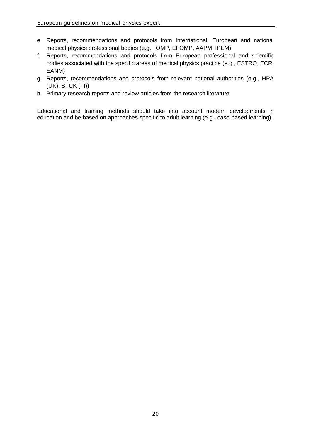- e. Reports, recommendations and protocols from International, European and national medical physics professional bodies (e.g., IOMP, EFOMP, AAPM, IPEM)
- f. Reports, recommendations and protocols from European professional and scientific bodies associated with the specific areas of medical physics practice (e.g., ESTRO, ECR, EANM)
- g. Reports, recommendations and protocols from relevant national authorities (e.g., HPA (UK), STUK (FI))
- h. Primary research reports and review articles from the research literature.

Educational and training methods should take into account modern developments in education and be based on approaches specific to adult learning (e.g., case-based learning).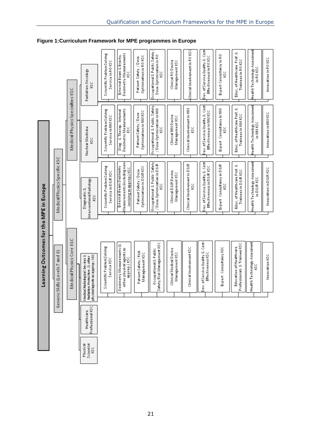**Figure 1:Curriculum Framework for MPE programmes in Europe**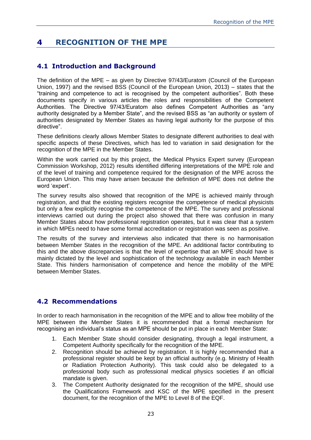### <span id="page-22-0"></span>**4 RECOGNITION OF THE MPE**

#### <span id="page-22-1"></span>**4.1 Introduction and Background**

The definition of the MPE – as given by Directive 97/43/Euratom (Council of the European Union, 1997) and the revised BSS (Council of the European Union, 2013) – states that the "training and competence to act is recognised by the competent authorities". Both these documents specify in various articles the roles and responsibilities of the Competent Authorities. The Directive 97/43/Euratom also defines Competent Authorities as "any authority designated by a Member State", and the revised BSS as "an authority or system of authorities designated by Member States as having legal authority for the purpose of this directive".

These definitions clearly allows Member States to designate different authorities to deal with specific aspects of these Directives, which has led to variation in said designation for the recognition of the MPE in the Member States.

Within the work carried out by this project, the Medical Physics Expert survey (European Commission Workshop, 2012) results identified differing interpretations of the MPE role and of the level of training and competence required for the designation of the MPE across the European Union. This may have arisen because the definition of MPE does not define the word 'expert'.

The survey results also showed that recognition of the MPE is achieved mainly through registration, and that the existing registers recognise the competence of medical physicists but only a few explicitly recognise the competence of the MPE. The survey and professional interviews carried out during the project also showed that there was confusion in many Member States about how professional registration operates, but it was clear that a system in which MPEs need to have some formal accreditation or registration was seen as positive.

The results of the survey and interviews also indicated that there is no harmonisation between Member States in the recognition of the MPE. An additional factor contributing to this and the above discrepancies is that the level of expertise that an MPE should have is mainly dictated by the level and sophistication of the technology available in each Member State. This hinders harmonisation of competence and hence the mobility of the MPE between Member States.

#### <span id="page-22-2"></span>**4.2 Recommendations**

In order to reach harmonisation in the recognition of the MPE and to allow free mobility of the MPE between the Member States it is recommended that a formal mechanism for recognising an individual's status as an MPE should be put in place in each Member State:

- 1. Each Member State should consider designating, through a legal instrument, a Competent Authority specifically for the recognition of the MPE.
- 2. Recognition should be achieved by registration. It is highly recommended that a professional register should be kept by an official authority (e.g. Ministry of Health or Radiation Protection Authority). This task could also be delegated to a professional body such as professional medical physics societies if an official mandate is given.
- 3. The Competent Authority designated for the recognition of the MPE, should use the Qualifications Framework and KSC of the MPE specified in the present document, for the recognition of the MPE to Level 8 of the EQF.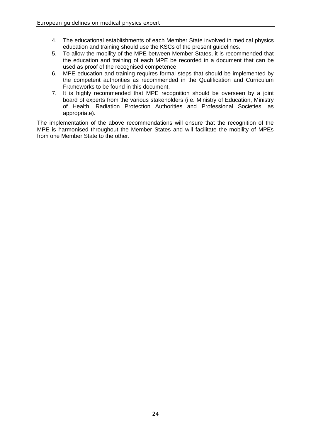- 4. The educational establishments of each Member State involved in medical physics education and training should use the KSCs of the present guidelines.
- 5. To allow the mobility of the MPE between Member States, it is recommended that the education and training of each MPE be recorded in a document that can be used as proof of the recognised competence.
- 6. MPE education and training requires formal steps that should be implemented by the competent authorities as recommended in the Qualification and Curriculum Frameworks to be found in this document.
- 7. It is highly recommended that MPE recognition should be overseen by a joint board of experts from the various stakeholders (i.e. Ministry of Education, Ministry of Health, Radiation Protection Authorities and Professional Societies, as appropriate).

The implementation of the above recommendations will ensure that the recognition of the MPE is harmonised throughout the Member States and will facilitate the mobility of MPEs from one Member State to the other.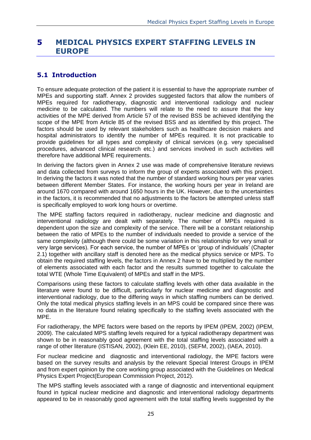#### <span id="page-24-0"></span>**5 MEDICAL PHYSICS EXPERT STAFFING LEVELS IN EUROPE**

#### <span id="page-24-1"></span>**5.1 Introduction**

To ensure adequate protection of the patient it is essential to have the appropriate number of MPEs and supporting staff. Annex 2 provides suggested factors that allow the numbers of MPEs required for radiotherapy, diagnostic and interventional radiology and nuclear medicine to be calculated. The numbers will relate to the need to assure that the key activities of the MPE derived from Article 57 of the revised BSS be achieved identifying the scope of the MPE from Article 85 of the revised BSS and as identified by this project. The factors should be used by relevant stakeholders such as healthcare decision makers and hospital administrators to identify the number of MPEs required. It is not practicable to provide guidelines for all types and complexity of clinical services (e.g. very specialised procedures, advanced clinical research etc.) and services involved in such activities will therefore have additional MPE requirements.

In deriving the factors given in Annex 2 use was made of comprehensive literature reviews and data collected from surveys to inform the group of experts associated with this project. In deriving the factors it was noted that the number of standard working hours per year varies between different Member States. For instance, the working hours per year in Ireland are around 1670 compared with around 1650 hours in the UK. However, due to the uncertainties in the factors, it is recommended that no adjustments to the factors be attempted unless staff is specifically employed to work long hours or overtime.

The MPE staffing factors required in radiotherapy, nuclear medicine and diagnostic and interventional radiology are dealt with separately. The number of MPEs required is dependent upon the size and complexity of the service. There will be a constant relationship between the ratio of MPEs to the number of individuals needed to provide a service of the same complexity (although there could be some variation in this relationship for very small or very large services). For each service, the number of MPEs or 'group of individuals' (Chapter 2.1) together with ancillary staff is denoted here as the medical physics service or MPS. To obtain the required staffing levels, the factors in Annex 2 have to be multiplied by the number of elements associated with each factor and the results summed together to calculate the total WTE (Whole Time Equivalent) of MPEs and staff in the MPS.

Comparisons using these factors to calculate staffing levels with other data available in the literature were found to be difficult, particularly for nuclear medicine and diagnostic and interventional radiology, due to the differing ways in which staffing numbers can be derived. Only the total medical physics staffing levels in an MPS could be compared since there was no data in the literature found relating specifically to the staffing levels associated with the MPE.

For radiotherapy, the MPE factors were based on the reports by IPEM (IPEM, 2002) (IPEM, 2009). The calculated MPS staffing levels required for a typical radiotherapy department was shown to be in reasonably good agreement with the total staffing levels associated with a range of other literature (ISTISAN, 2002), (Klein EE, 2010), (SEFM, 2002), (IAEA, 2010).

For nuclear medicine and diagnostic and interventional radiology, the MPE factors were based on the survey results and analysis by the relevant Special Interest Groups in IPEM and from expert opinion by the core working group associated with the Guidelines on Medical Physics Expert Project(European Commission Project, 2012).

The MPS staffing levels associated with a range of diagnostic and interventional equipment found in typical nuclear medicine and diagnostic and interventional radiology departments appeared to be in reasonably good agreement with the total staffing levels suggested by the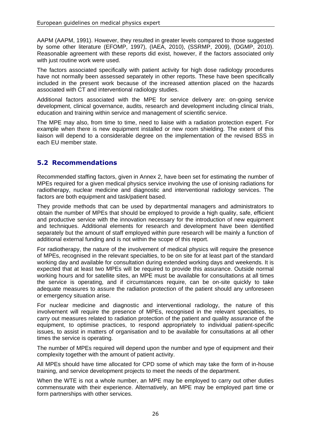AAPM (AAPM, 1991). However, they resulted in greater levels compared to those suggested by some other literature (EFOMP, 1997), (IAEA, 2010), (SSRMP, 2009), (DGMP, 2010). Reasonable agreement with these reports did exist, however, if the factors associated only with just routine work were used.

The factors associated specifically with patient activity for high dose radiology procedures have not normally been assessed separately in other reports. These have been specifically included in the present work because of the increased attention placed on the hazards associated with CT and interventional radiology studies.

Additional factors associated with the MPE for service delivery are: on-going service development, clinical governance, audits, research and development including clinical trials, education and training within service and management of scientific service.

The MPE may also, from time to time, need to liaise with a radiation protection expert. For example when there is new equipment installed or new room shielding. The extent of this liaison will depend to a considerable degree on the implementation of the revised BSS in each EU member state.

#### <span id="page-25-0"></span>**5.2 Recommendations**

Recommended staffing factors, given in Annex 2, have been set for estimating the number of MPEs required for a given medical physics service involving the use of ionising radiations for radiotherapy, nuclear medicine and diagnostic and interventional radiology services. The factors are both equipment and task/patient based.

They provide methods that can be used by departmental managers and administrators to obtain the number of MPEs that should be employed to provide a high quality, safe, efficient and productive service with the innovation necessary for the introduction of new equipment and techniques. Additional elements for research and development have been identified separately but the amount of staff employed within pure research will be mainly a function of additional external funding and is not within the scope of this report.

For radiotherapy, the nature of the involvement of medical physics will require the presence of MPEs, recognised in the relevant specialties, to be on site for at least part of the standard working day and available for consultation during extended working days and weekends. It is expected that at least two MPEs will be required to provide this assurance. Outside normal working hours and for satellite sites, an MPE must be available for consultations at all times the service is operating, and if circumstances require, can be on-site quickly to take adequate measures to assure the radiation protection of the patient should any unforeseen or emergency situation arise.

For nuclear medicine and diagnostic and interventional radiology, the nature of this involvement will require the presence of MPEs, recognised in the relevant specialties, to carry out measures related to radiation protection of the patient and quality assurance of the equipment, to optimise practices, to respond appropriately to individual patient-specific issues, to assist in matters of organisation and to be available for consultations at all other times the service is operating.

The number of MPEs required will depend upon the number and type of equipment and their complexity together with the amount of patient activity.

All MPEs should have time allocated for CPD some of which may take the form of in-house training, and service development projects to meet the needs of the department.

When the WTE is not a whole number, an MPE may be employed to carry out other duties commensurate with their experience. Alternatively, an MPE may be employed part time or form partnerships with other services.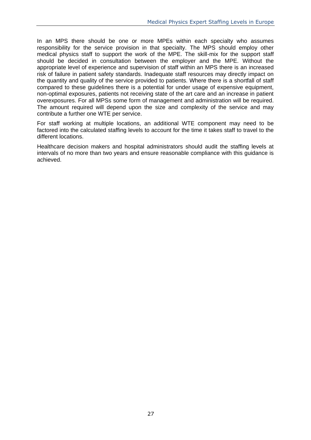In an MPS there should be one or more MPEs within each specialty who assumes responsibility for the service provision in that specialty. The MPS should employ other medical physics staff to support the work of the MPE. The skill-mix for the support staff should be decided in consultation between the employer and the MPE. Without the appropriate level of experience and supervision of staff within an MPS there is an increased risk of failure in patient safety standards. Inadequate staff resources may directly impact on the quantity and quality of the service provided to patients. Where there is a shortfall of staff compared to these guidelines there is a potential for under usage of expensive equipment, non-optimal exposures, patients not receiving state of the art care and an increase in patient overexposures. For all MPSs some form of management and administration will be required. The amount required will depend upon the size and complexity of the service and may contribute a further one WTE per service.

For staff working at multiple locations, an additional WTE component may need to be factored into the calculated staffing levels to account for the time it takes staff to travel to the different locations.

Healthcare decision makers and hospital administrators should audit the staffing levels at intervals of no more than two years and ensure reasonable compliance with this guidance is achieved.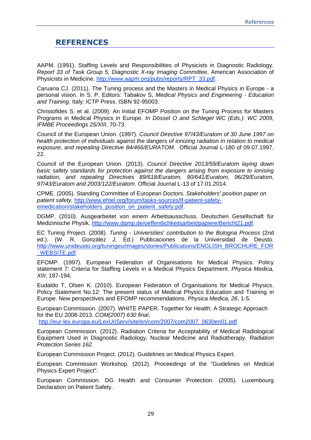#### <span id="page-28-0"></span>**REFERENCES**

AAPM. (1991). Staffing Levels and Responsibilities of Physicists in Diagnostic Radiology. *Report 33 of Task Group 5, Diagnostic X-ray Imaging Committee*, American Association of Physicists in Medicine. [http://www.aapm.org/pubs/reports/RPT\\_33.pdf.](http://www.aapm.org/pubs/reports/RPT_33.pdf)

Caruana CJ. (2011). The Tuning process and the Masters in Medical Physics in Europe - a personal vision. In S. P. Editors: Tabakov S, *Medical Physics and Engineering - Education and Training*. Italy: ICTP Press. ISBN 92-95003.

Christofides S. et al. (2009). An Initial EFOMP Position on the Tuning Process for Masters Programs in Medical Physics in Europe. *In Dössel O and Schlegel WC (Eds.): WC 2009, IFMBE Proceedings 25/XIII*, 70-73.

Council of the European Union. (1997). *Council Directive 97/43/Euratom of 30 June 1997 on health protection of individuals against the dangers of ionizing radiation in relation to medical exposure, and repealing Directive 84/466/EURATOM*. Official Journal L-180 of 09.07.1997, 22.

Council of the European Union. (2013). *Council Directive 2013/59/Euratom laying down basic safety standards for protection against the dangers arising from exposure to ionising radiation, and repealing Directives 89/618/Euratom, 90/641/Euratom, 96/29/Euratom, 97/43/Euratom and 2003/122/Euratom*. Official Journal L-13 of 17.01.2014.

CPME. (2005). Standing Committee of European Doctors. *Stakeholders' position paper on patient safety,* [http://www.ehtel.org/forum/tasks-sources/tf-patient-safety](http://www.ehtel.org/forum/tasks-sources/tf-patient-safety-emedication/stakeholders_position_on_patient_safety.pdf)[emedication/stakeholders\\_position\\_on\\_patient\\_safety.pdf.](http://www.ehtel.org/forum/tasks-sources/tf-patient-safety-emedication/stakeholders_position_on_patient_safety.pdf)

DGMP. (2010). Ausgearbeitet von einem Arbeitsausschuss. Deutschen Gesellschaft für Medizinische Physik. [http://www.dgmp.de/oeffentlichkeitsarbeit/papiere/Bericht21.pdf.](http://www.dgmp.de/oeffentlichkeitsarbeit/papiere/Bericht21.pdf)

EC Tuning Project. (2008). *Tuning - Universities' contribution to the Bologna Process* (2nd ed.). (W. R. González J, Ed.) Publicaciones de la Universidad de Deusto. [http://www.unideusto.org/tuningeu/images/stories/Publications/ENGLISH\\_BROCHURE\\_FOR](http://www.unideusto.org/tuningeu/images/stories/Publications/ENGLISH_BROCHURE_FOR_WEBSITE.pdf) [\\_WEBSITE.pdf.](http://www.unideusto.org/tuningeu/images/stories/Publications/ENGLISH_BROCHURE_FOR_WEBSITE.pdf)

EFOMP. (1997). European Federation of Organisations for Medical Physics. Policy statement 7: Criteria for Staffing Levels in a Medical Physics Department. *Physica Medica, XIII*, 187-194.

Eudaldo T, Olsen K. (2010). European Federation of Organisations for Medical Physics. Policy Statement No.12: The present status of Medical Physics Education and Training in Europe. New perspectives and EFOMP recommendations. *Physica Medica, 26*, 1-5.

European Commission. (2007). WHITE PAPER. Together for Health: A Strategic Approach for the EU 2008-2013. *COM(2007) 630 final*, [http://eur-lex.europa.eu/LexUriServ/site/en/com/2007/com2007\\_0630en01.pdf.](http://eur-lex.europa.eu/LexUriServ/site/en/com/2007/com2007_0630en01.pdf)

European Commission. (2012). Radiation Criteria for Acceptability of Medical Radiological Equipment Used in Diagnostic Radiology, Nuclear Medicine and Radiotherapy. *Radiation Protection Series 162*.

European Commission Project. (2012). Guidelines on Medical Physics Expert.

European Commission Workshop. (2012). Proceedings of the "Guidelines on Medical Physics Expert Project".

European Commission. DG Health and Consumer Protection. (2005). Luxembourg Declaration on Patient Safety.